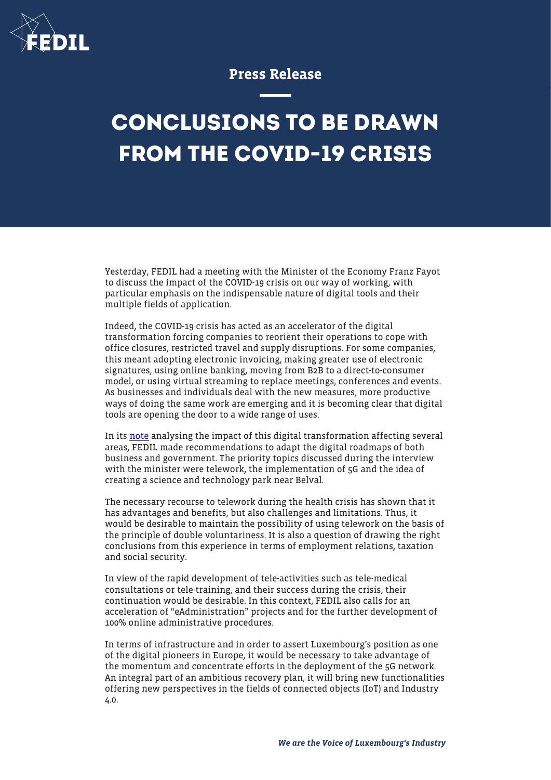

## Press Release

## **CONCLUSIONS TO BE DRAWN FROM THE COVID-19 CRISIS**

Yesterday, FEDIL had a meeting with the Minister of the Economy Franz Fayot to discuss the impact of the COVID-19 crisis on our way of working, with particular emphasis on the indispensable nature of digital tools and their multiple fields of application.

Indeed, the COVID-19 crisis has acted as an accelerator of the digital transformation forcing companies to reorient their operations to cope with office closures, restricted travel and supply disruptions. For some companies, this meant adopting electronic invoicing, making greater use of electronic signatures, using online banking, moving from B2B to a direct-to-consumer model, or using virtual streaming to replace meetings, conferences and events. As businesses and individuals deal with the new measures, more productive ways of doing the same work are emerging and it is becoming clear that digital tools are opening the door to a wide range of uses.

In its [note](https://fedil.lu/en/publications/conclusions-a-tirer-de-la-crise-covid-19/) analysing the impact of this digital transformation affecting several areas, FEDIL made recommendations to adapt the digital roadmaps of both business and government. The priority topics discussed during the interview with the minister were telework, the implementation of 5G and the idea of creating a science and technology park near Belval.

The necessary recourse to telework during the health crisis has shown that it has advantages and benefits, but also challenges and limitations. Thus, it would be desirable to maintain the possibility of using telework on the basis of the principle of double voluntariness. It is also a question of drawing the right conclusions from this experience in terms of employment relations, taxation and social security.

In view of the rapid development of tele-activities such as tele-medical consultations or tele-training, and their success during the crisis, their continuation would be desirable. In this context, FEDIL also calls for an acceleration of "eAdministration" projects and for the further development of 100% online administrative procedures.

In terms of infrastructure and in order to assert Luxembourg's position as one of the digital pioneers in Europe, it would be necessary to take advantage of the momentum and concentrate efforts in the deployment of the 5G network. An integral part of an ambitious recovery plan, it will bring new functionalities offering new perspectives in the fields of connected objects (IoT) and Industry 4.0.